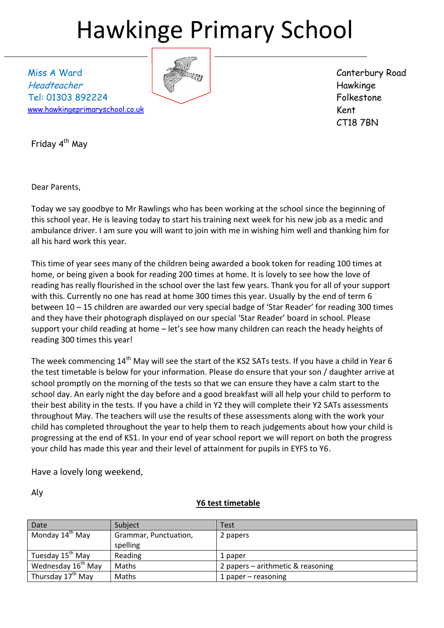# Hawkinge Primary School

Miss A Ward Headteacher Tel: 01303 892224 [www.hawkingeprimaryschool.co.uk](http://www.hawkingeprimaryschool.co.uk/)



Canterbury Road Hawkinge Folkestone Kent CT18 7BN

Friday 4<sup>th</sup> May

Dear Parents,

Today we say goodbye to Mr Rawlings who has been working at the school since the beginning of this school year. He is leaving today to start his training next week for his new job as a medic and ambulance driver. I am sure you will want to join with me in wishing him well and thanking him for all his hard work this year.

This time of year sees many of the children being awarded a book token for reading 100 times at home, or being given a book for reading 200 times at home. It is lovely to see how the love of reading has really flourished in the school over the last few years. Thank you for all of your support with this. Currently no one has read at home 300 times this year. Usually by the end of term 6 between 10 – 15 children are awarded our very special badge of 'Star Reader' for reading 300 times and they have their photograph displayed on our special 'Star Reader' board in school. Please support your child reading at home – let's see how many children can reach the heady heights of reading 300 times this year!

The week commencing 14<sup>th</sup> May will see the start of the KS2 SATs tests. If you have a child in Year 6 the test timetable is below for your information. Please do ensure that your son / daughter arrive at school promptly on the morning of the tests so that we can ensure they have a calm start to the school day. An early night the day before and a good breakfast will all help your child to perform to their best ability in the tests. If you have a child in Y2 they will complete their Y2 SATs assessments throughout May. The teachers will use the results of these assessments along with the work your child has completed throughout the year to help them to reach judgements about how your child is progressing at the end of KS1. In your end of year school report we will report on both the progress your child has made this year and their level of attainment for pupils in EYFS to Y6.

Have a lovely long weekend,

Aly

#### **Y6 test timetable**

| Date                           | Subject               | Test                              |
|--------------------------------|-----------------------|-----------------------------------|
| Monday 14 <sup>th</sup> May    | Grammar, Punctuation, | 2 papers                          |
|                                | spelling              |                                   |
| Tuesday 15 <sup>th</sup> May   | Reading               | 1 paper                           |
| Wednesday 16 <sup>th</sup> May | Maths                 | 2 papers – arithmetic & reasoning |
| Thursday 17 <sup>th</sup> May  | Maths                 | 1 paper $-$ reasoning             |